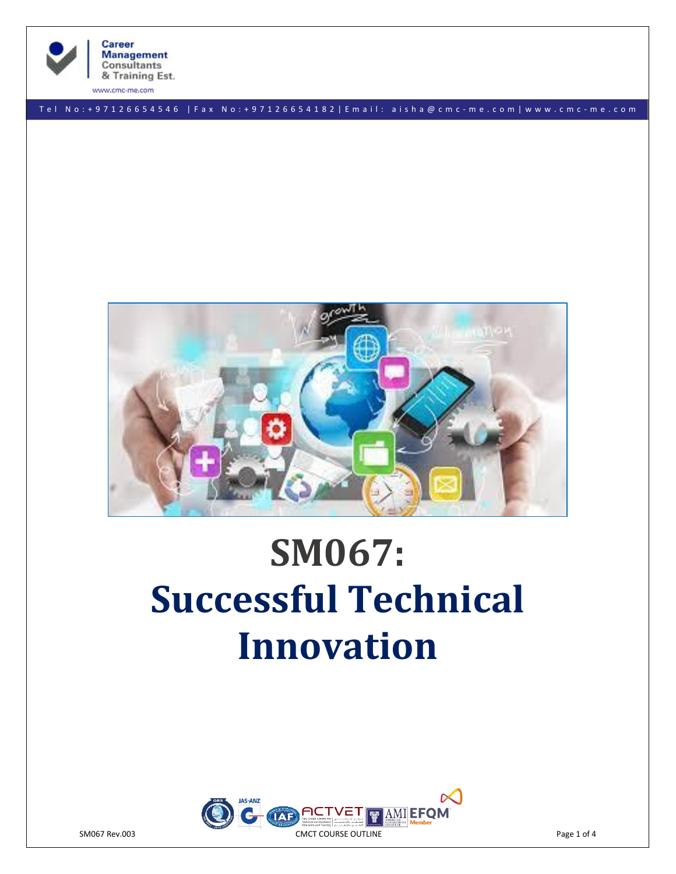

**Career Management Consultants** & Training Est.

www.cmc-me.com

T e l N o : + 9 7 1 2 6 6 5 4 5 4 6 | F a x N o : + 9 7 1 2 6 6 5 4 1 8 2 | E m a i l : a i s h a @ c m c - m e . c o m | w w w . c m c - m e . c o m



# **SM067: Successful Technical Innovation**

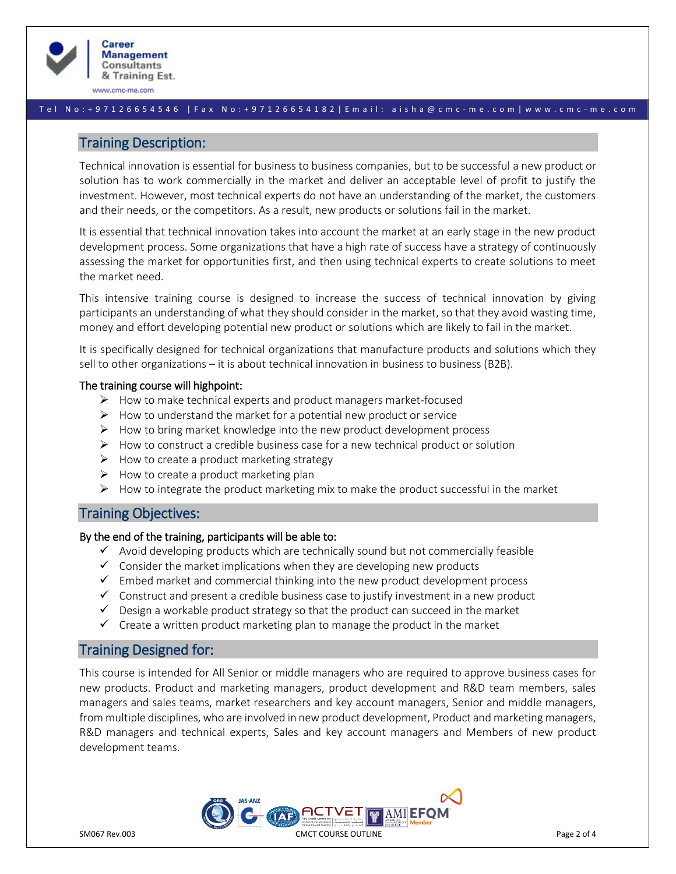

www.cmc-me.com

#### T e l N o : + 9 7 1 2 6 6 5 4 5 4 6 | F a x N o : + 9 7 1 2 6 6 5 4 1 8 2 | E m a i l : a i s h a @ c m c - m e . c o m | w w w . c m c - m e . c o m

## Training Description:

Technical innovation is essential for business to business companies, but to be successful a new product or solution has to work commercially in the market and deliver an acceptable level of profit to justify the investment. However, most technical experts do not have an understanding of the market, the customers and their needs, or the competitors. As a result, new products or solutions fail in the market.

It is essential that technical innovation takes into account the market at an early stage in the new product development process. Some organizations that have a high rate of success have a strategy of continuously assessing the market for opportunities first, and then using technical experts to create solutions to meet the market need.

This intensive training course is designed to increase the success of technical innovation by giving participants an understanding of what they should consider in the market, so that they avoid wasting time, money and effort developing potential new product or solutions which are likely to fail in the market.

It is specifically designed for technical organizations that manufacture products and solutions which they sell to other organizations – it is about technical innovation in business to business (B2B).

#### The training course will highpoint:

- ➢ How to make technical experts and product managers market-focused
- $\triangleright$  How to understand the market for a potential new product or service
- $\triangleright$  How to bring market knowledge into the new product development process
- $\triangleright$  How to construct a credible business case for a new technical product or solution
- $\triangleright$  How to create a product marketing strategy
- $\triangleright$  How to create a product marketing plan
- $\triangleright$  How to integrate the product marketing mix to make the product successful in the market

## Training Objectives:

## By the end of the training, participants will be able to:

- $\checkmark$  Avoid developing products which are technically sound but not commercially feasible
- $\checkmark$  Consider the market implications when they are developing new products
- $\checkmark$  Embed market and commercial thinking into the new product development process
- $\checkmark$  Construct and present a credible business case to justify investment in a new product
- $\checkmark$  Design a workable product strategy so that the product can succeed in the market
- $\checkmark$  Create a written product marketing plan to manage the product in the market

# Training Designed for:

This course is intended for All Senior or middle managers who are required to approve business cases for new products. Product and marketing managers, product development and R&D team members, sales managers and sales teams, market researchers and key account managers, Senior and middle managers, from multiple disciplines, who are involved in new product development, Product and marketing managers, R&D managers and technical experts, Sales and key account managers and Members of new product development teams.

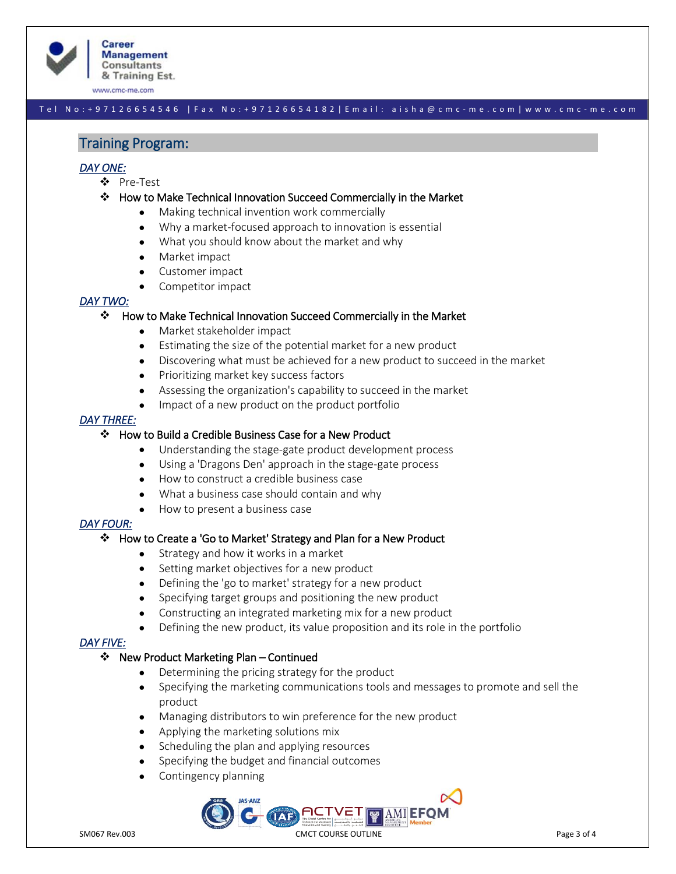

www.cmc-me.com

## T e l N o : + 9 7 1 2 6 6 5 4 5 4 6 | F a x N o : + 9 7 1 2 6 6 5 4 1 8 2 | E m a i l : a i s h a @ c m c - m e . c o m | w w w . c m c - m e . c o m

## Training Program:

## *DAY ONE:*

- ❖ Pre-Test
- ❖ How to Make Technical Innovation Succeed Commercially in the Market
	- Making technical invention work commercially
	- Why a market-focused approach to innovation is essential
	- What you should know about the market and why
	- Market impact
	- Customer impact
	- Competitor impact

#### *DAY TWO:*

#### ❖ How to Make Technical Innovation Succeed Commercially in the Market

- Market stakeholder impact
- Estimating the size of the potential market for a new product
- Discovering what must be achieved for a new product to succeed in the market
- Prioritizing market key success factors
- Assessing the organization's capability to succeed in the market
- Impact of a new product on the product portfolio

#### *DAY THREE:*

#### ❖ How to Build a Credible Business Case for a New Product

- Understanding the stage-gate product development process
- Using a 'Dragons Den' approach in the stage-gate process
- How to construct a credible business case
- What a business case should contain and why
- How to present a business case

#### *DAY FOUR:*

#### ❖ How to Create a 'Go to Market' Strategy and Plan for a New Product

- Strategy and how it works in a market
- Setting market objectives for a new product
- Defining the 'go to market' strategy for a new product
- Specifying target groups and positioning the new product
- Constructing an integrated marketing mix for a new product
- Defining the new product, its value proposition and its role in the portfolio

#### *DAY FIVE:*

#### ❖ New Product Marketing Plan – Continued

- Determining the pricing strategy for the product
- Specifying the marketing communications tools and messages to promote and sell the product
- Managing distributors to win preference for the new product
- Applying the marketing solutions mix
- Scheduling the plan and applying resources
- Specifying the budget and financial outcomes
- Contingency planning